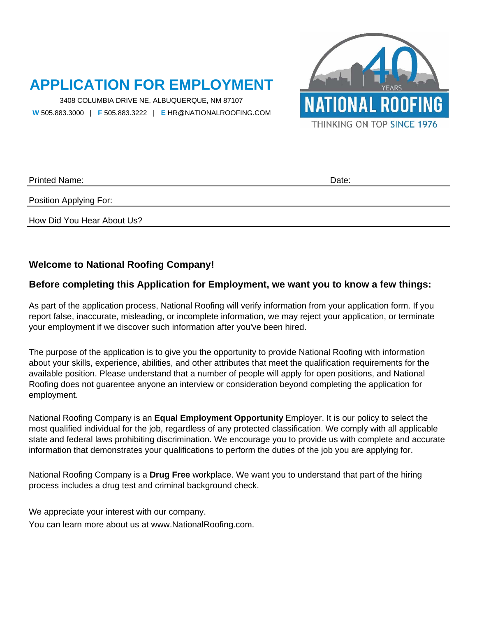# **APPLICATION FOR EMPLOYMENT**

 **W** 505.883.3000 | **F** 505.883.3222 | **E** HR@NATIONALROOFING.COM 3408 COLUMBIA DRIVE NE, ALBUQUERQUE, NM 87107





Printed Name:

Date:

Position Applying For:

How Did You Hear About Us?

#### **Welcome to National Roofing Company!**

#### **Before completing this Application for Employment, we want you to know a few things:**

As part of the application process, National Roofing will verify information from your application form. If you report false, inaccurate, misleading, or incomplete information, we may reject your application, or terminate your employment if we discover such information after you've been hired.

The purpose of the application is to give you the opportunity to provide National Roofing with information about your skills, experience, abilities, and other attributes that meet the qualification requirements for the available position. Please understand that a number of people will apply for open positions, and National Roofing does not guarentee anyone an interview or consideration beyond completing the application for employment.

National Roofing Company is an **Equal Employment Opportunity** Employer. It is our policy to select the most qualified individual for the job, regardless of any protected classification. We comply with all applicable state and federal laws prohibiting discrimination. We encourage you to provide us with complete and accurate information that demonstrates your qualifications to perform the duties of the job you are applying for.

National Roofing Company is a **Drug Free** workplace. We want you to understand that part of the hiring process includes a drug test and criminal background check.

We appreciate your interest with our company. You can learn more about us at www.NationalRoofing.com.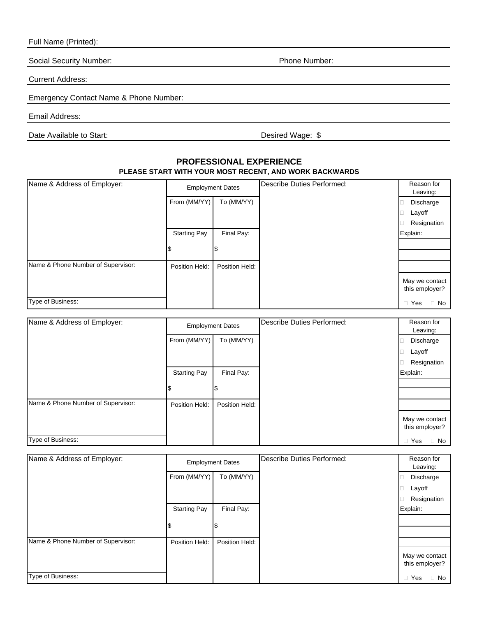Full Name (Printed):

Social Security Number:

Current Address:

Emergency Contact Name & Phone Number:

Email Address:

Date Available to Start: Date Available to Start:

**PROFESSIONAL EXPERIENCE PLEASE START WITH YOUR MOST RECENT, AND WORK BACKWARDS**

| Name & Address of Employer:        | <b>Employment Dates</b> |                | Describe Duties Performed: | Reason for<br>Leaving:           |
|------------------------------------|-------------------------|----------------|----------------------------|----------------------------------|
|                                    | From (MM/YY)            | To (MM/YY)     |                            | Discharge                        |
|                                    |                         |                |                            | Layoff                           |
|                                    |                         |                |                            | Resignation                      |
|                                    | <b>Starting Pay</b>     | Final Pay:     |                            | Explain:                         |
|                                    |                         | I\$            |                            |                                  |
|                                    |                         |                |                            |                                  |
| Name & Phone Number of Supervisor: | Position Held:          | Position Held: |                            |                                  |
|                                    |                         |                |                            | May we contact<br>this employer? |
| Type of Business:                  |                         |                |                            | Yes<br>No<br>Ω<br>П              |

| Name & Address of Employer:        | <b>Employment Dates</b> |                | Describe Duties Performed: | Reason for<br>Leaving:           |
|------------------------------------|-------------------------|----------------|----------------------------|----------------------------------|
|                                    | From (MM/YY)            | To (MM/YY)     |                            | Discharge                        |
|                                    |                         |                |                            | Layoff                           |
|                                    |                         |                |                            | Resignation                      |
|                                    | <b>Starting Pay</b>     | Final Pay:     |                            | Explain:                         |
|                                    |                         |                |                            |                                  |
| Name & Phone Number of Supervisor: | Position Held:          | Position Held: |                            |                                  |
|                                    |                         |                |                            | May we contact<br>this employer? |
| Type of Business:                  |                         |                |                            | Yes<br>$\Box$ No<br>$\Box$       |

| Name & Address of Employer:        | <b>Employment Dates</b> |                | Describe Duties Performed: | Reason for<br>Leaving:           |
|------------------------------------|-------------------------|----------------|----------------------------|----------------------------------|
|                                    | From (MM/YY)            | To (MM/YY)     |                            | Discharge                        |
|                                    |                         |                |                            | Layoff                           |
|                                    |                         |                |                            | Resignation                      |
|                                    | <b>Starting Pay</b>     | Final Pay:     |                            | Explain:                         |
|                                    |                         |                |                            |                                  |
|                                    |                         |                |                            |                                  |
| Name & Phone Number of Supervisor: | Position Held:          | Position Held: |                            |                                  |
|                                    |                         |                |                            | May we contact<br>this employer? |
| Type of Business:                  |                         |                |                            | No<br>$\Box$ Yes                 |

Phone Number: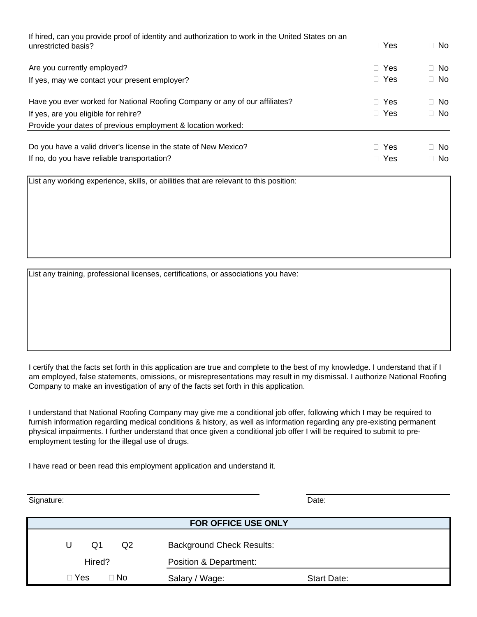| If hired, can you provide proof of identity and authorization to work in the United States on an<br>unrestricted basis? | Yes<br>П.              | $\Box$ No              |
|-------------------------------------------------------------------------------------------------------------------------|------------------------|------------------------|
| Are you currently employed?                                                                                             | $\Box$ Yes             | $\Box$ No              |
| If yes, may we contact your present employer?                                                                           | $\Box$ Yes             | $\Box$ No              |
| Have you ever worked for National Roofing Company or any of our affiliates?                                             | Yes<br>H               | $\Box$ No              |
| If yes, are you eligible for rehire?                                                                                    | Yes<br>H.              | $\Box$ No              |
| Provide your dates of previous employment & location worked:                                                            |                        |                        |
| Do you have a valid driver's license in the state of New Mexico?<br>If no, do you have reliable transportation?         | Yes<br>П.<br>Yes<br>П. | $\Box$ No<br>$\Box$ No |

List any working experience, skills, or abilities that are relevant to this position:

List any training, professional licenses, certifications, or associations you have:

I certify that the facts set forth in this application are true and complete to the best of my knowledge. I understand that if I am employed, false statements, omissions, or misrepresentations may result in my dismissal. I authorize National Roofing Company to make an investigation of any of the facts set forth in this application.

I understand that National Roofing Company may give me a conditional job offer, following which I may be required to furnish information regarding medical conditions & history, as well as information regarding any pre-existing permanent physical impairments. I further understand that once given a conditional job offer I will be required to submit to preemployment testing for the illegal use of drugs.

I have read or been read this employment application and understand it.

Signature: Date: Date: Date: Date: Date: Date: Date: Date: Date: Date: Date: Date: Date: Date: Date: Date: Date: Date: Date: Date: Date: Date: Date: Date: Date: Date: Date: Date: Date: Date: Date: Date: Date: Date: Date: D

| FOR OFFICE USE ONLY   |                                  |                    |  |  |  |
|-----------------------|----------------------------------|--------------------|--|--|--|
| Q2<br>Q1<br>U         | <b>Background Check Results:</b> |                    |  |  |  |
| Hired?                | Position & Department:           |                    |  |  |  |
| $\square$ Yes<br>∃ No | Salary / Wage:                   | <b>Start Date:</b> |  |  |  |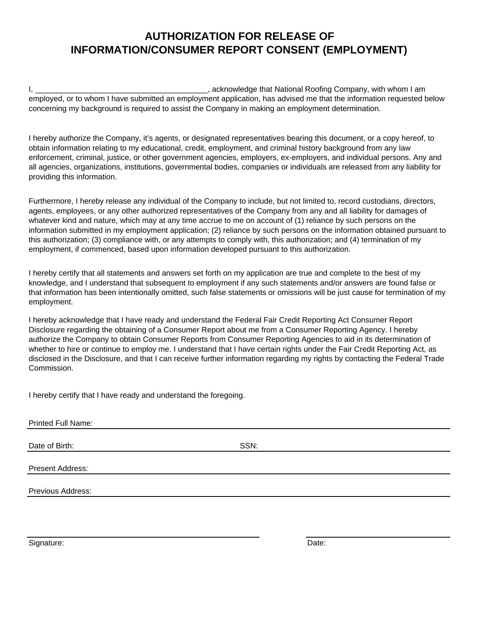### **AUTHORIZATION FOR RELEASE OF INFORMATION/CONSUMER REPORT CONSENT (EMPLOYMENT)**

I, \_\_\_\_\_\_\_\_\_\_\_\_\_\_\_\_\_\_\_\_\_\_\_\_\_\_\_\_\_\_\_\_\_\_\_\_\_\_\_\_, acknowledge that National Roofing Company, with whom I am employed, or to whom I have submitted an employment application, has advised me that the information requested below concerning my background is required to assist the Company in making an employment determination.

I hereby authorize the Company, it's agents, or designated representatives bearing this document, or a copy hereof, to obtain information relating to my educational, credit, employment, and criminal history background from any law enforcement, criminal, justice, or other government agencies, employers, ex-employers, and individual persons. Any and all agencies, organizations, institutions, governmental bodies, companies or individuals are released from any liability for providing this information.

Furthermore, I hereby release any individual of the Company to include, but not limited to, record custodians, directors, agents, employees, or any other authorized representatives of the Company from any and all liability for damages of whatever kind and nature, which may at any time accrue to me on account of (1) reliance by such persons on the information submitted in my employment application; (2) reliance by such persons on the information obtained pursuant to this authorization; (3) compliance with, or any attempts to comply with, this authorization; and (4) termination of my employment, if commenced, based upon information developed pursuant to this authorization.

I hereby certify that all statements and answers set forth on my application are true and complete to the best of my knowledge, and I understand that subsequent to employment if any such statements and/or answers are found false or that information has been intentionally omitted, such false statements or omissions will be just cause for termination of my employment.

I hereby acknowledge that I have ready and understand the Federal Fair Credit Reporting Act Consumer Report Disclosure regarding the obtaining of a Consumer Report about me from a Consumer Reporting Agency. I hereby authorize the Company to obtain Consumer Reports from Consumer Reporting Agencies to aid in its determination of whether to hire or continue to employ me. I understand that I have certain rights under the Fair Credit Reporting Act, as disclosed in the Disclosure, and that I can receive further information regarding my rights by contacting the Federal Trade Commission.

I hereby certify that I have ready and understand the foregoing.

| <b>Printed Full Name:</b> |      |  |
|---------------------------|------|--|
| Date of Birth:            | SSN: |  |
| Present Address:          |      |  |
| <b>Previous Address:</b>  |      |  |
|                           |      |  |

Signature: Date: Date: Date: Date: Date: Date: Date: Date: Date: Date: Date: Date: Date: Date: Date: Date: Date: Date: Date: Date: Date: Date: Date: Date: Date: Date: Date: Date: Date: Date: Date: Date: Date: Date: Date: D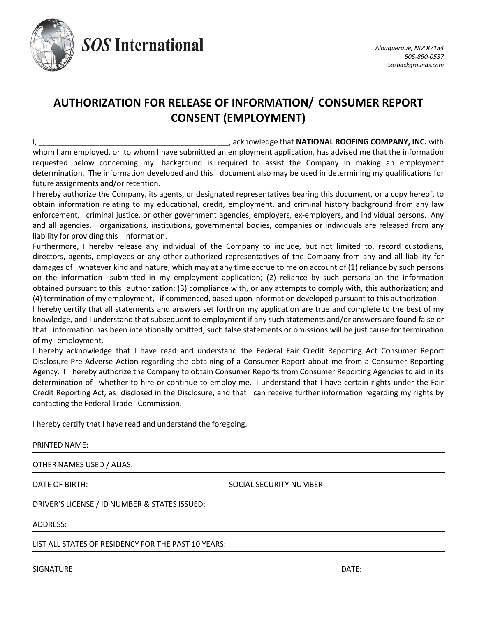

**SOS International** 

## **AUTHORIZATION FOR RELEASE OF INFORMATION/ CONSUMER REPORT CONSENT (EMPLOYMENT)**

I, \_\_\_\_\_\_\_\_\_\_\_\_\_\_\_\_\_\_\_\_\_\_\_\_\_\_\_\_\_\_\_\_\_\_\_\_\_\_\_\_\_\_\_\_\_\_\_, acknowledge that **NATIONAL ROOFING COMPANY, INC.** with whom I am employed, or to whom I have submitted an employment application, has advised me that the information requested below concerning my background is required to assist the Company in making an employment determination. The information developed and this document also may be used in determining my qualifications for future assignments and/or retention.

I hereby authorize the Company, its agents, or designated representatives bearing this document, or a copy hereof, to obtain information relating to my educational, credit, employment, and criminal history background from any law enforcement, criminal justice, or other government agencies, employers, ex-employers, and individual persons. Any and all agencies, organizations, institutions, governmental bodies, companies or individuals are released from any liability for providing this information.

Furthermore, I hereby release any individual of the Company to include, but not limited to, record custodians, directors, agents, employees or any other authorized representatives of the Company from any and all liability for damages of whatever kind and nature, which may at any time accrue to me on account of (1) reliance by such persons on the information submitted in my employment application; (2) reliance by such persons on the information obtained pursuant to this authorization; (3) compliance with, or any attempts to comply with, this authorization; and (4) termination of my employment, if commenced, based upon information developed pursuant to this authorization.

I hereby certify that all statements and answers set forth on my application are true and complete to the best of my knowledge, and I understand that subsequent to employment if any such statements and/or answers are found false or that information has been intentionally omitted, such false statements or omissions will be just cause for termination of my employment.

I hereby acknowledge that I have read and understand the Federal Fair Credit Reporting Act Consumer Report Disclosure‐Pre Adverse Action regarding the obtaining of a Consumer Report about me from a Consumer Reporting Agency. I hereby authorize the Company to obtain Consumer Reports from Consumer Reporting Agencies to aid in its determination of whether to hire or continue to employ me. I understand that I have certain rights under the Fair Credit Reporting Act, as disclosed in the Disclosure, and that I can receive further information regarding my rights by contacting the Federal Trade Commission.

I hereby certify that I have read and understand the foregoing.

#### PRINTED NAME:

OTHER NAMES USED / ALIAS:

DATE OF BIRTH: SOCIAL SECURITY NUMBER:

DRIVER'S LICENSE / ID NUMBER & STATES ISSUED:

ADDRESS:

LIST ALL STATES OF RESIDENCY FOR THE PAST 10 YEARS:

SIGNATURE: DATE: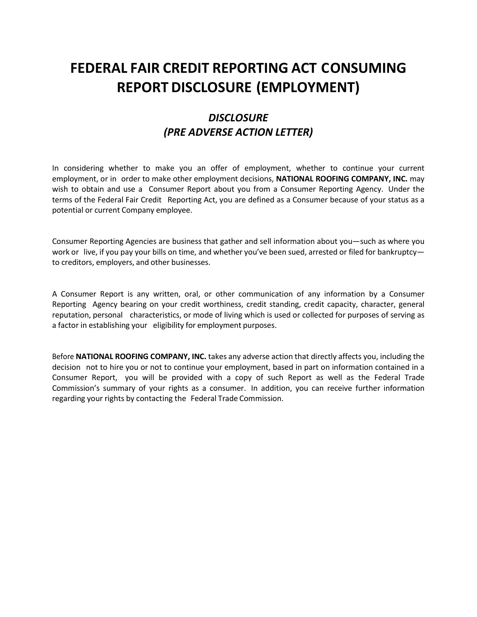# **FEDERAL FAIR CREDIT REPORTING ACT CONSUMING REPORT DISCLOSURE (EMPLOYMENT)**

## *DISCLOSURE (PRE ADVERSE ACTION LETTER)*

In considering whether to make you an offer of employment, whether to continue your current employment, or in order to make other employment decisions, **NATIONAL ROOFING COMPANY, INC.** may wish to obtain and use a Consumer Report about you from a Consumer Reporting Agency. Under the terms of the Federal Fair Credit Reporting Act, you are defined as a Consumer because of your status as a potential or current Company employee.

Consumer Reporting Agencies are business that gather and sell information about you—such as where you work or live, if you pay your bills on time, and whether you've been sued, arrested or filed for bankruptcy to creditors, employers, and other businesses.

A Consumer Report is any written, oral, or other communication of any information by a Consumer Reporting Agency bearing on your credit worthiness, credit standing, credit capacity, character, general reputation, personal characteristics, or mode of living which is used or collected for purposes of serving as a factor in establishing your eligibility for employment purposes.

Before **NATIONAL ROOFING COMPANY, INC.** takes any adverse action that directly affects you, including the decision not to hire you or not to continue your employment, based in part on information contained in a Consumer Report, you will be provided with a copy of such Report as well as the Federal Trade Commission's summary of your rights as a consumer. In addition, you can receive further information regarding your rights by contacting the Federal Trade Commission.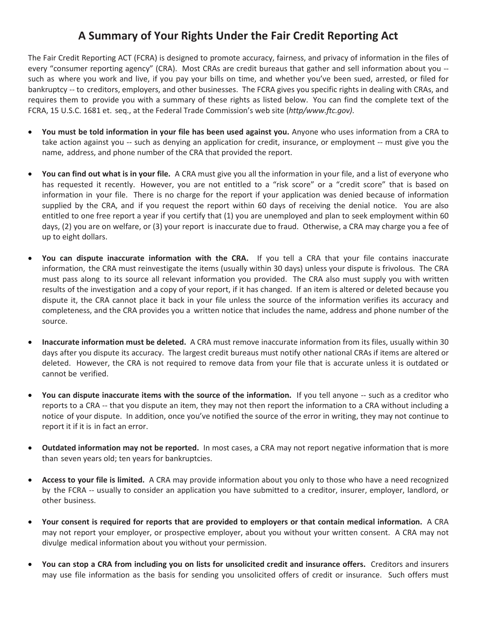## **A Summary of Your Rights Under the Fair Credit Reporting Act**

The Fair Credit Reporting ACT (FCRA) is designed to promote accuracy, fairness, and privacy of information in the files of every "consumer reporting agency" (CRA). Most CRAs are credit bureaus that gather and sell information about you - such as where you work and live, if you pay your bills on time, and whether you've been sued, arrested, or filed for bankruptcy -- to creditors, employers, and other businesses. The FCRA gives you specific rights in dealing with CRAs, and requires them to provide you with a summary of these rights as listed below. You can find the complete text of the FCRA, 15 U.S.C. 1681 et. seq., at the Federal Trade Commission's web site (*http/www.ftc.gov)*.

- **You must be told information in your file has been used against you.** Anyone who uses information from a CRA to take action against you -- such as denying an application for credit, insurance, or employment -- must give you the name, address, and phone number of the CRA that provided the report.
- **You can find out what is in your file.** A CRA must give you all the information in your file, and a list of everyone who has requested it recently. However, you are not entitled to a "risk score" or a "credit score" that is based on information in your file. There is no charge for the report if your application was denied because of information supplied by the CRA, and if you request the report within 60 days of receiving the denial notice. You are also entitled to one free report a year if you certify that (1) you are unemployed and plan to seek employment within 60 days, (2) you are on welfare, or (3) your report is inaccurate due to fraud. Otherwise, a CRA may charge you a fee of up to eight dollars.
- **You can dispute inaccurate information with the CRA.** If you tell a CRA that your file contains inaccurate information, the CRA must reinvestigate the items (usually within 30 days) unless your dispute is frivolous. The CRA must pass along to its source all relevant information you provided. The CRA also must supply you with written results of the investigation and a copy of your report, if it has changed. If an item is altered or deleted because you dispute it, the CRA cannot place it back in your file unless the source of the information verifies its accuracy and completeness, and the CRA provides you a written notice that includes the name, address and phone number of the source.
- **Inaccurate information must be deleted.** A CRA must remove inaccurate information from its files, usually within 30 days after you dispute its accuracy. The largest credit bureaus must notify other national CRAs if items are altered or deleted. However, the CRA is not required to remove data from your file that is accurate unless it is outdated or cannot be verified.
- **You can dispute inaccurate items with the source of the information.** If you tell anyone -- such as a creditor who reports to a CRA -- that you dispute an item, they may not then report the information to a CRA without including a notice of your dispute. In addition, once you've notified the source of the error in writing, they may not continue to report it if it is in fact an error.
- **Outdated information may not be reported.** In most cases, a CRA may not report negative information that is more than seven years old; ten years for bankruptcies.
- **Access to your file is limited.** A CRA may provide information about you only to those who have a need recognized by the FCRA -- usually to consider an application you have submitted to a creditor, insurer, employer, landlord, or other business.
- **Your consent is required for reports that are provided to employers or that contain medical information.** A CRA may not report your employer, or prospective employer, about you without your written consent. A CRA may not divulge medical information about you without your permission.
- **You can stop a CRA from including you on lists for unsolicited credit and insurance offers.** Creditors and insurers may use file information as the basis for sending you unsolicited offers of credit or insurance. Such offers must